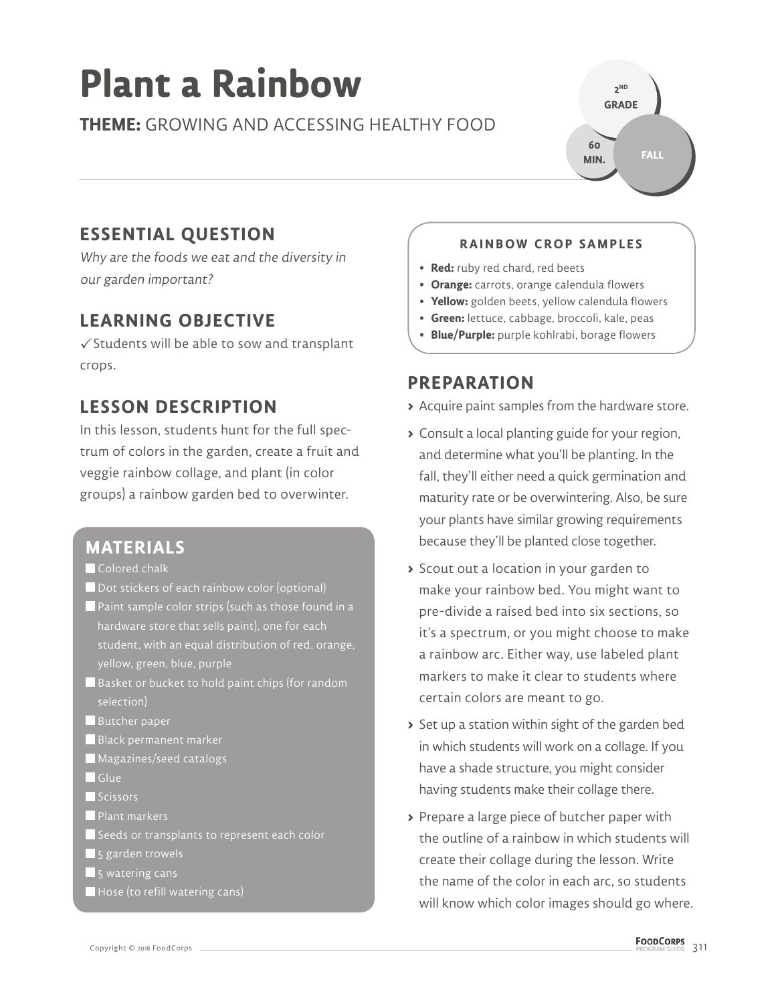# **Plant a Rainbow**

## **THEME:** GROWING AND ACCESSING HEALTHY FOOD

**2 ND GRADE FALL 60 MIN.**

# **ESSENTIAL QUESTION**

Why are the foods we eat and the diversity in our garden important?

## **LEARNING OBJECTIVE**

 $\checkmark$  Students will be able to sow and transplant crops.

## **LESSON DESCRIPTION**

In this lesson, students hunt for the full spectrum of colors in the garden, create a fruit and veggie rainbow collage, and plant (in color groups) a rainbow garden bed to overwinter.

### **MATERIALS**

- Colored chalk
- **Dot stickers of each rainbow color (optional)**
- **Paint sample color strips (such as those found in a**  hardware store that sells paint), one for each student, with an equal distribution of red, orange, yellow, green, blue, purple
- $\blacksquare$  Basket or bucket to hold paint chips (for random selection)
- Butcher paper
- Black permanent marker
- Magazines/seed catalogs
- Glue
- Scissors
- **Plant markers**
- Seeds or transplants to represent each color
- **5** garden trowels
- $\blacksquare$  5 watering cans
- Hose (to refill watering cans)

#### **RAINBOW CROP SAMPLES**

- **Red:** ruby red chard, red beets
- **Orange:** carrots, orange calendula flowers
- **Yellow:** golden beets, yellow calendula flowers
- **Green:** lettuce, cabbage, broccoli, kale, peas
- **Blue/Purple:** purple kohlrabi, borage flowers

## **PREPARATION**

- **>** Acquire paint samples from the hardware store.
- **>** Consult a local planting guide for your region, and determine what you'll be planting. In the fall, they'll either need a quick germination and maturity rate or be overwintering. Also, be sure your plants have similar growing requirements because they'll be planted close together.
- **>** Scout out a location in your garden to make your rainbow bed. You might want to pre-divide a raised bed into six sections, so it's a spectrum, or you might choose to make a rainbow arc. Either way, use labeled plant markers to make it clear to students where certain colors are meant to go.
- **>** Set up a station within sight of the garden bed in which students will work on a collage. If you have a shade structure, you might consider having students make their collage there.
- **>** Prepare a large piece of butcher paper with the outline of a rainbow in which students will create their collage during the lesson. Write the name of the color in each arc, so students will know which color images should go where.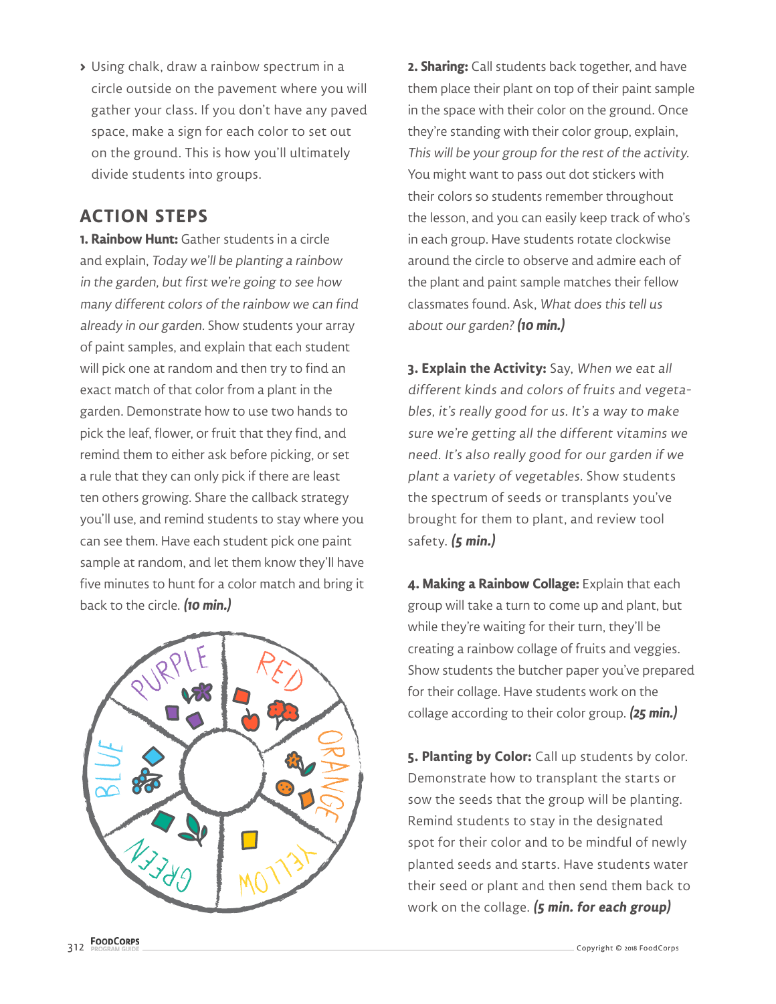**>** Using chalk, draw a rainbow spectrum in a circle outside on the pavement where you will gather your class. If you don't have any paved space, make a sign for each color to set out on the ground. This is how you'll ultimately divide students into groups.

## **ACTION STEPS**

**1. Rainbow Hunt:** Gather students in a circle and explain, Today we'll be planting a rainbow in the garden, but first we're going to see how many different colors of the rainbow we can find already in our garden. Show students your array of paint samples, and explain that each student will pick one at random and then try to find an exact match of that color from a plant in the garden. Demonstrate how to use two hands to pick the leaf, flower, or fruit that they find, and remind them to either ask before picking, or set a rule that they can only pick if there are least ten others growing. Share the callback strategy you'll use, and remind students to stay where you can see them. Have each student pick one paint sample at random, and let them know they'll have five minutes to hunt for a color match and bring it back to the circle. **(10 min.)**



**2. Sharing:** Call students back together, and have them place their plant on top of their paint sample in the space with their color on the ground. Once they're standing with their color group, explain, This will be your group for the rest of the activity. You might want to pass out dot stickers with their colors so students remember throughout the lesson, and you can easily keep track of who's in each group. Have students rotate clockwise around the circle to observe and admire each of the plant and paint sample matches their fellow classmates found. Ask, What does this tell us about our garden? **(10 min.)**

**3. Explain the Activity:** Say, When we eat all different kinds and colors of fruits and vegetables, it's really good for us. It's a way to make sure we're getting all the different vitamins we need. It's also really good for our garden if we plant a variety of vegetables. Show students the spectrum of seeds or transplants you've brought for them to plant, and review tool safety. **(5 min.)**

**4. Making a Rainbow Collage:** Explain that each group will take a turn to come up and plant, but while they're waiting for their turn, they'll be creating a rainbow collage of fruits and veggies. Show students the butcher paper you've prepared for their collage. Have students work on the collage according to their color group. **(25 min.)**

**5. Planting by Color:** Call up students by color. Demonstrate how to transplant the starts or sow the seeds that the group will be planting. Remind students to stay in the designated spot for their color and to be mindful of newly planted seeds and starts. Have students water their seed or plant and then send them back to work on the collage. **(5 min. for each group)**